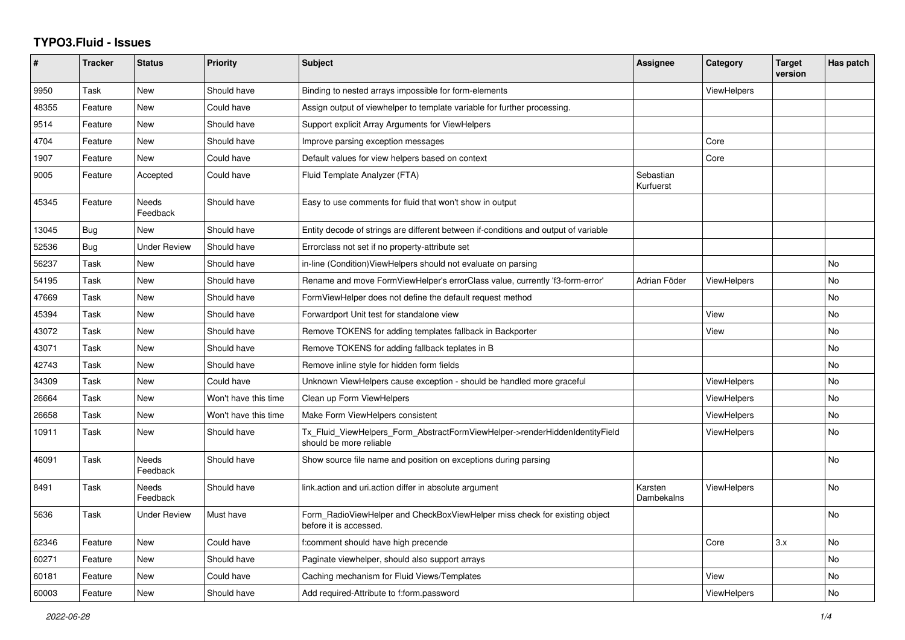## **TYPO3.Fluid - Issues**

| $\pmb{\#}$ | <b>Tracker</b> | <b>Status</b>            | <b>Priority</b>      | <b>Subject</b>                                                                                         | Assignee               | Category           | <b>Target</b><br>version | Has patch |
|------------|----------------|--------------------------|----------------------|--------------------------------------------------------------------------------------------------------|------------------------|--------------------|--------------------------|-----------|
| 9950       | Task           | New                      | Should have          | Binding to nested arrays impossible for form-elements                                                  |                        | <b>ViewHelpers</b> |                          |           |
| 48355      | Feature        | <b>New</b>               | Could have           | Assign output of viewhelper to template variable for further processing.                               |                        |                    |                          |           |
| 9514       | Feature        | New                      | Should have          | Support explicit Array Arguments for ViewHelpers                                                       |                        |                    |                          |           |
| 4704       | Feature        | New                      | Should have          | Improve parsing exception messages                                                                     |                        | Core               |                          |           |
| 1907       | Feature        | New                      | Could have           | Default values for view helpers based on context                                                       |                        | Core               |                          |           |
| 9005       | Feature        | Accepted                 | Could have           | Fluid Template Analyzer (FTA)                                                                          | Sebastian<br>Kurfuerst |                    |                          |           |
| 45345      | Feature        | Needs<br>Feedback        | Should have          | Easy to use comments for fluid that won't show in output                                               |                        |                    |                          |           |
| 13045      | Bug            | <b>New</b>               | Should have          | Entity decode of strings are different between if-conditions and output of variable                    |                        |                    |                          |           |
| 52536      | Bug            | <b>Under Review</b>      | Should have          | Errorclass not set if no property-attribute set                                                        |                        |                    |                          |           |
| 56237      | Task           | <b>New</b>               | Should have          | in-line (Condition) View Helpers should not evaluate on parsing                                        |                        |                    |                          | No        |
| 54195      | Task           | New                      | Should have          | Rename and move FormViewHelper's errorClass value, currently 'f3-form-error'                           | Adrian Föder           | <b>ViewHelpers</b> |                          | <b>No</b> |
| 47669      | Task           | New                      | Should have          | FormViewHelper does not define the default request method                                              |                        |                    |                          | No        |
| 45394      | Task           | <b>New</b>               | Should have          | Forwardport Unit test for standalone view                                                              |                        | View               |                          | <b>No</b> |
| 43072      | Task           | New                      | Should have          | Remove TOKENS for adding templates fallback in Backporter                                              |                        | View               |                          | <b>No</b> |
| 43071      | Task           | New                      | Should have          | Remove TOKENS for adding fallback teplates in B                                                        |                        |                    |                          | No        |
| 42743      | Task           | <b>New</b>               | Should have          | Remove inline style for hidden form fields                                                             |                        |                    |                          | <b>No</b> |
| 34309      | Task           | New                      | Could have           | Unknown ViewHelpers cause exception - should be handled more graceful                                  |                        | <b>ViewHelpers</b> |                          | <b>No</b> |
| 26664      | Task           | New                      | Won't have this time | Clean up Form ViewHelpers                                                                              |                        | ViewHelpers        |                          | No.       |
| 26658      | Task           | <b>New</b>               | Won't have this time | Make Form ViewHelpers consistent                                                                       |                        | <b>ViewHelpers</b> |                          | <b>No</b> |
| 10911      | Task           | New                      | Should have          | Tx Fluid ViewHelpers Form AbstractFormViewHelper->renderHiddenIdentityField<br>should be more reliable |                        | ViewHelpers        |                          | <b>No</b> |
| 46091      | Task           | <b>Needs</b><br>Feedback | Should have          | Show source file name and position on exceptions during parsing                                        |                        |                    |                          | <b>No</b> |
| 8491       | Task           | Needs<br>Feedback        | Should have          | link action and uri action differ in absolute argument                                                 | Karsten<br>Dambekalns  | <b>ViewHelpers</b> |                          | No        |
| 5636       | Task           | <b>Under Review</b>      | Must have            | Form_RadioViewHelper and CheckBoxViewHelper miss check for existing object<br>before it is accessed.   |                        |                    |                          | <b>No</b> |
| 62346      | Feature        | <b>New</b>               | Could have           | f:comment should have high precende                                                                    |                        | Core               | 3.x                      | <b>No</b> |
| 60271      | Feature        | New                      | Should have          | Paginate viewhelper, should also support arrays                                                        |                        |                    |                          | No        |
| 60181      | Feature        | New                      | Could have           | Caching mechanism for Fluid Views/Templates                                                            |                        | View               |                          | No        |
| 60003      | Feature        | <b>New</b>               | Should have          | Add required-Attribute to f:form.password                                                              |                        | ViewHelpers        |                          | No        |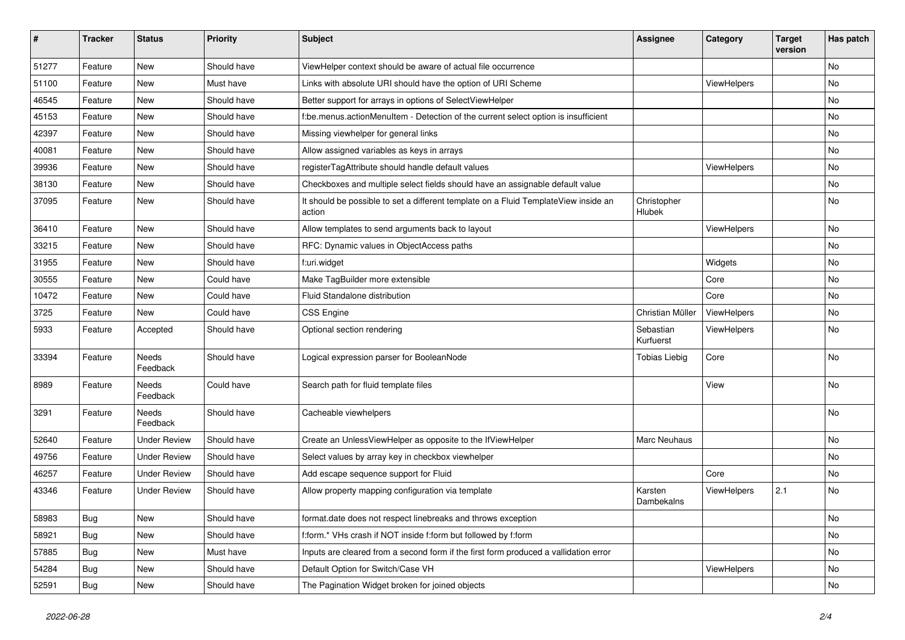| #     | <b>Tracker</b> | <b>Status</b>            | <b>Priority</b> | Subject                                                                                       | <b>Assignee</b>        | Category    | <b>Target</b><br>version | Has patch |
|-------|----------------|--------------------------|-----------------|-----------------------------------------------------------------------------------------------|------------------------|-------------|--------------------------|-----------|
| 51277 | Feature        | New                      | Should have     | ViewHelper context should be aware of actual file occurrence                                  |                        |             |                          | <b>No</b> |
| 51100 | Feature        | New                      | Must have       | Links with absolute URI should have the option of URI Scheme                                  |                        | ViewHelpers |                          | No        |
| 46545 | Feature        | New                      | Should have     | Better support for arrays in options of SelectViewHelper                                      |                        |             |                          | No        |
| 45153 | Feature        | New                      | Should have     | f:be.menus.actionMenuItem - Detection of the current select option is insufficient            |                        |             |                          | No        |
| 42397 | Feature        | <b>New</b>               | Should have     | Missing viewhelper for general links                                                          |                        |             |                          | No        |
| 40081 | Feature        | New                      | Should have     | Allow assigned variables as keys in arrays                                                    |                        |             |                          | No        |
| 39936 | Feature        | New                      | Should have     | registerTagAttribute should handle default values                                             |                        | ViewHelpers |                          | No        |
| 38130 | Feature        | New                      | Should have     | Checkboxes and multiple select fields should have an assignable default value                 |                        |             |                          | No        |
| 37095 | Feature        | <b>New</b>               | Should have     | It should be possible to set a different template on a Fluid TemplateView inside an<br>action | Christopher<br>Hlubek  |             |                          | No        |
| 36410 | Feature        | <b>New</b>               | Should have     | Allow templates to send arguments back to layout                                              |                        | ViewHelpers |                          | No        |
| 33215 | Feature        | New                      | Should have     | RFC: Dynamic values in ObjectAccess paths                                                     |                        |             |                          | No        |
| 31955 | Feature        | New                      | Should have     | f:uri.widget                                                                                  |                        | Widgets     |                          | No        |
| 30555 | Feature        | New                      | Could have      | Make TagBuilder more extensible                                                               |                        | Core        |                          | No        |
| 10472 | Feature        | New                      | Could have      | Fluid Standalone distribution                                                                 |                        | Core        |                          | No        |
| 3725  | Feature        | New                      | Could have      | <b>CSS Engine</b>                                                                             | Christian Müller       | ViewHelpers |                          | No        |
| 5933  | Feature        | Accepted                 | Should have     | Optional section rendering                                                                    | Sebastian<br>Kurfuerst | ViewHelpers |                          | No        |
| 33394 | Feature        | <b>Needs</b><br>Feedback | Should have     | Logical expression parser for BooleanNode                                                     | <b>Tobias Liebig</b>   | Core        |                          | <b>No</b> |
| 8989  | Feature        | Needs<br>Feedback        | Could have      | Search path for fluid template files                                                          |                        | View        |                          | <b>No</b> |
| 3291  | Feature        | Needs<br>Feedback        | Should have     | Cacheable viewhelpers                                                                         |                        |             |                          | No        |
| 52640 | Feature        | <b>Under Review</b>      | Should have     | Create an UnlessViewHelper as opposite to the IfViewHelper                                    | Marc Neuhaus           |             |                          | No        |
| 49756 | Feature        | <b>Under Review</b>      | Should have     | Select values by array key in checkbox viewhelper                                             |                        |             |                          | No        |
| 46257 | Feature        | <b>Under Review</b>      | Should have     | Add escape sequence support for Fluid                                                         |                        | Core        |                          | No        |
| 43346 | Feature        | <b>Under Review</b>      | Should have     | Allow property mapping configuration via template                                             | Karsten<br>Dambekalns  | ViewHelpers | 2.1                      | No        |
| 58983 | <b>Bug</b>     | New                      | Should have     | format.date does not respect linebreaks and throws exception                                  |                        |             |                          | No        |
| 58921 | <b>Bug</b>     | New                      | Should have     | f:form.* VHs crash if NOT inside f:form but followed by f:form                                |                        |             |                          | No        |
| 57885 | Bug            | New                      | Must have       | Inputs are cleared from a second form if the first form produced a vallidation error          |                        |             |                          | No        |
| 54284 | <b>Bug</b>     | New                      | Should have     | Default Option for Switch/Case VH                                                             |                        | ViewHelpers |                          | No        |
| 52591 | <b>Bug</b>     | New                      | Should have     | The Pagination Widget broken for joined objects                                               |                        |             |                          | No        |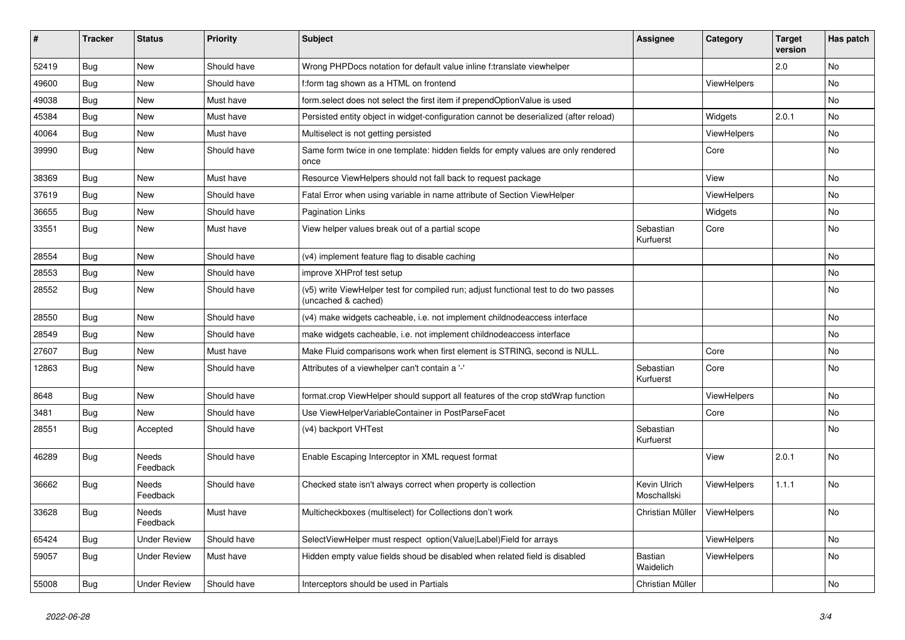| $\sharp$ | <b>Tracker</b> | <b>Status</b>       | <b>Priority</b> | <b>Subject</b>                                                                                              | <b>Assignee</b>             | Category    | <b>Target</b><br>version | Has patch |
|----------|----------------|---------------------|-----------------|-------------------------------------------------------------------------------------------------------------|-----------------------------|-------------|--------------------------|-----------|
| 52419    | <b>Bug</b>     | <b>New</b>          | Should have     | Wrong PHPDocs notation for default value inline f:translate viewhelper                                      |                             |             | 2.0                      | <b>No</b> |
| 49600    | <b>Bug</b>     | New                 | Should have     | f:form tag shown as a HTML on frontend                                                                      |                             | ViewHelpers |                          | <b>No</b> |
| 49038    | <b>Bug</b>     | New                 | Must have       | form.select does not select the first item if prependOptionValue is used                                    |                             |             |                          | No        |
| 45384    | <b>Bug</b>     | New                 | Must have       | Persisted entity object in widget-configuration cannot be deserialized (after reload)                       |                             | Widgets     | 2.0.1                    | No        |
| 40064    | Bug            | New                 | Must have       | Multiselect is not getting persisted                                                                        |                             | ViewHelpers |                          | <b>No</b> |
| 39990    | <b>Bug</b>     | New                 | Should have     | Same form twice in one template: hidden fields for empty values are only rendered<br>once                   |                             | Core        |                          | <b>No</b> |
| 38369    | Bug            | <b>New</b>          | Must have       | Resource ViewHelpers should not fall back to request package                                                |                             | View        |                          | <b>No</b> |
| 37619    | Bug            | New                 | Should have     | Fatal Error when using variable in name attribute of Section ViewHelper                                     |                             | ViewHelpers |                          | <b>No</b> |
| 36655    | Bug            | New                 | Should have     | <b>Pagination Links</b>                                                                                     |                             | Widgets     |                          | No        |
| 33551    | <b>Bug</b>     | <b>New</b>          | Must have       | View helper values break out of a partial scope                                                             | Sebastian<br>Kurfuerst      | Core        |                          | <b>No</b> |
| 28554    | Bug            | New                 | Should have     | (v4) implement feature flag to disable caching                                                              |                             |             |                          | No        |
| 28553    | Bug            | New                 | Should have     | improve XHProf test setup                                                                                   |                             |             |                          | No        |
| 28552    | Bug            | New                 | Should have     | (v5) write ViewHelper test for compiled run; adjust functional test to do two passes<br>(uncached & cached) |                             |             |                          | No        |
| 28550    | Bug            | New                 | Should have     | (v4) make widgets cacheable, i.e. not implement childnodeaccess interface                                   |                             |             |                          | <b>No</b> |
| 28549    | Bug            | New                 | Should have     | make widgets cacheable, i.e. not implement childnodeaccess interface                                        |                             |             |                          | <b>No</b> |
| 27607    | Bug            | New                 | Must have       | Make Fluid comparisons work when first element is STRING, second is NULL.                                   |                             | Core        |                          | <b>No</b> |
| 12863    | Bug            | New                 | Should have     | Attributes of a viewhelper can't contain a '-'                                                              | Sebastian<br>Kurfuerst      | Core        |                          | <b>No</b> |
| 8648     | <b>Bug</b>     | New                 | Should have     | format.crop ViewHelper should support all features of the crop stdWrap function                             |                             | ViewHelpers |                          | <b>No</b> |
| 3481     | Bug            | <b>New</b>          | Should have     | Use ViewHelperVariableContainer in PostParseFacet                                                           |                             | Core        |                          | No        |
| 28551    | Bug            | Accepted            | Should have     | (v4) backport VHTest                                                                                        | Sebastian<br>Kurfuerst      |             |                          | <b>No</b> |
| 46289    | Bug            | Needs<br>Feedback   | Should have     | Enable Escaping Interceptor in XML request format                                                           |                             | View        | 2.0.1                    | <b>No</b> |
| 36662    | <b>Bug</b>     | Needs<br>Feedback   | Should have     | Checked state isn't always correct when property is collection                                              | Kevin Ulrich<br>Moschallski | ViewHelpers | 1.1.1                    | No        |
| 33628    | <b>Bug</b>     | Needs<br>Feedback   | Must have       | Multicheckboxes (multiselect) for Collections don't work                                                    | Christian Müller            | ViewHelpers |                          | <b>No</b> |
| 65424    | Bug            | <b>Under Review</b> | Should have     | SelectViewHelper must respect option(Value Label)Field for arrays                                           |                             | ViewHelpers |                          | No        |
| 59057    | Bug            | Under Review        | Must have       | Hidden empty value fields shoud be disabled when related field is disabled                                  | Bastian<br>Waidelich        | ViewHelpers |                          | No        |
| 55008    | <b>Bug</b>     | <b>Under Review</b> | Should have     | Interceptors should be used in Partials                                                                     | Christian Müller            |             |                          | <b>No</b> |